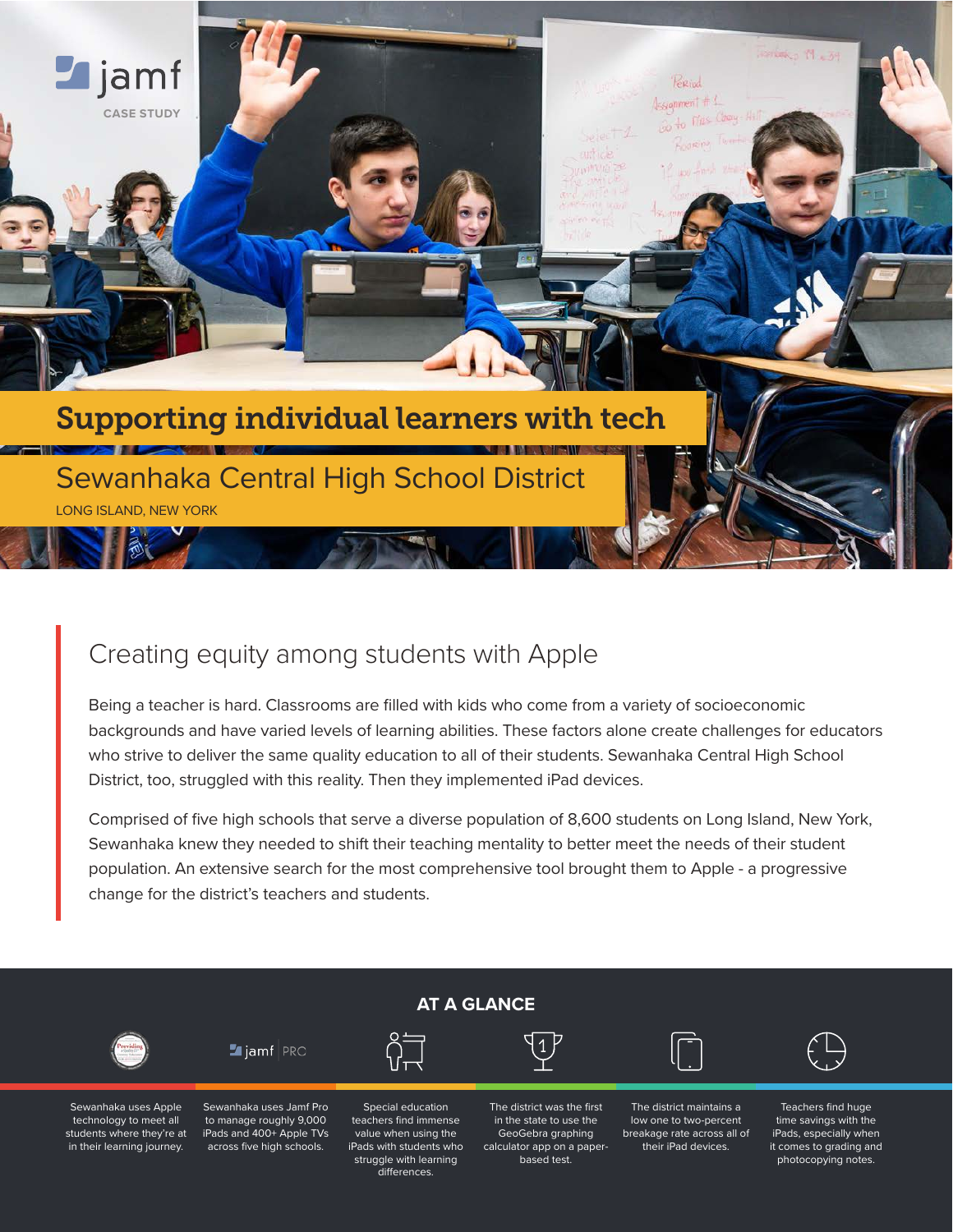

# Creating equity among students with Apple

Being a teacher is hard. Classrooms are filled with kids who come from a variety of socioeconomic backgrounds and have varied levels of learning abilities. These factors alone create challenges for educators who strive to deliver the same quality education to all of their students. Sewanhaka Central High School District, too, struggled with this reality. Then they implemented iPad devices.

Comprised of five high schools that serve a diverse population of 8,600 students on Long Island, New York, Sewanhaka knew they needed to shift their teaching mentality to better meet the needs of their student population. An extensive search for the most comprehensive tool brought them to Apple - a progressive change for the district's teachers and students.



Sewanhaka uses Apple technology to meet all students where they're at in their learning journey.

to manage roughly 9,000 iPads and 400+ Apple TVs across five high schools.

teachers find immense value when using the iPads with students who struggle with learning differences.

in the state to use the GeoGebra graphing calculator app on a paperbased test.

low one to two-percent breakage rate across all of their iPad devices.

Teachers find huge time savings with the iPads, especially when it comes to grading and photocopying notes.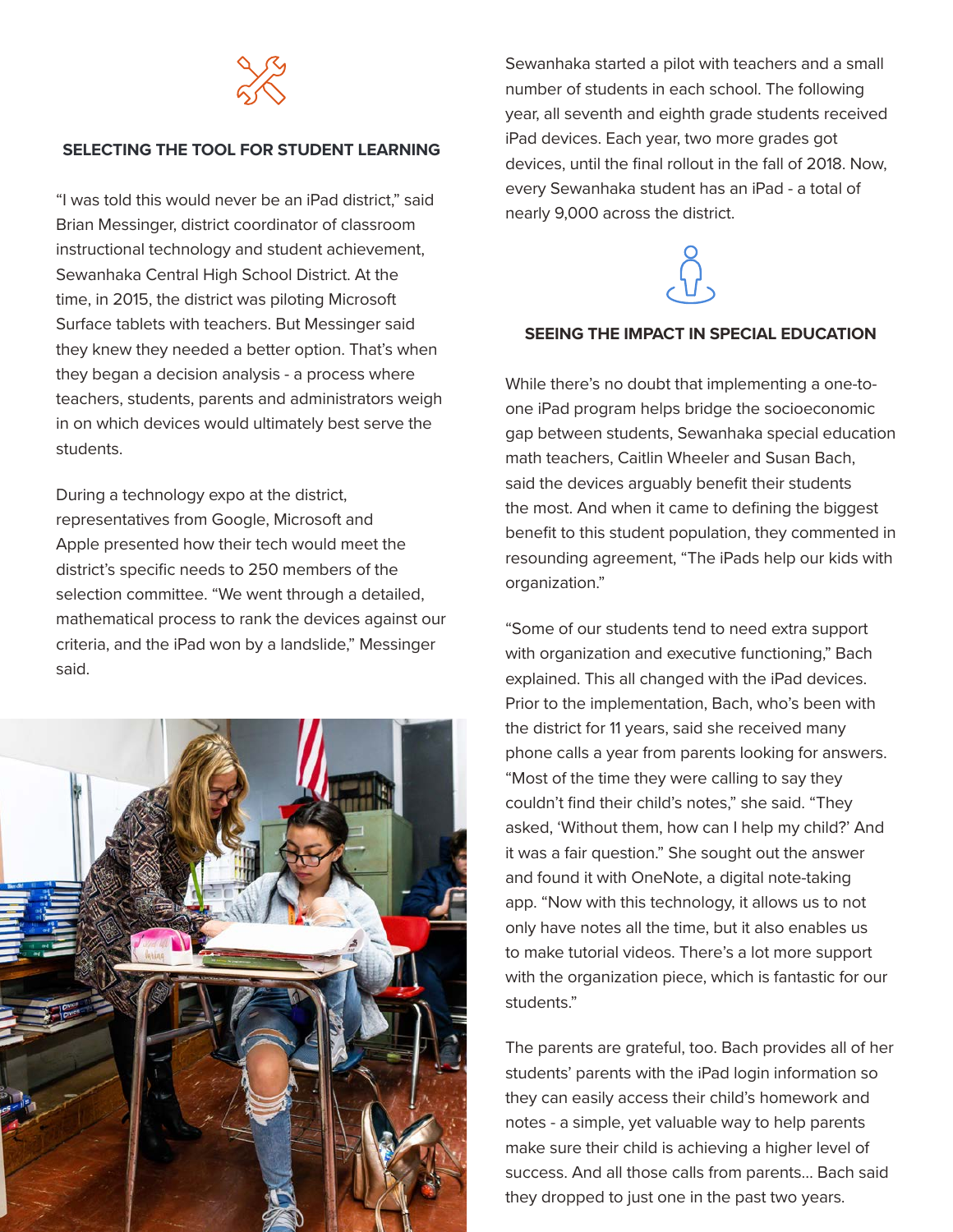

#### **SELECTING THE TOOL FOR STUDENT LEARNING**

"I was told this would never be an iPad district," said Brian Messinger, district coordinator of classroom instructional technology and student achievement, Sewanhaka Central High School District. At the time, in 2015, the district was piloting Microsoft Surface tablets with teachers. But Messinger said they knew they needed a better option. That's when they began a decision analysis - a process where teachers, students, parents and administrators weigh in on which devices would ultimately best serve the students.

During a technology expo at the district, representatives from Google, Microsoft and Apple presented how their tech would meet the district's specific needs to 250 members of the selection committee. "We went through a detailed, mathematical process to rank the devices against our criteria, and the iPad won by a landslide," Messinger said.



Sewanhaka started a pilot with teachers and a small number of students in each school. The following year, all seventh and eighth grade students received iPad devices. Each year, two more grades got devices, until the final rollout in the fall of 2018. Now, every Sewanhaka student has an iPad - a total of nearly 9,000 across the district.



#### **SEEING THE IMPACT IN SPECIAL EDUCATION**

While there's no doubt that implementing a one-toone iPad program helps bridge the socioeconomic gap between students, Sewanhaka special education math teachers, Caitlin Wheeler and Susan Bach, said the devices arguably benefit their students the most. And when it came to defining the biggest benefit to this student population, they commented in resounding agreement, "The iPads help our kids with organization."

"Some of our students tend to need extra support with organization and executive functioning," Bach explained. This all changed with the iPad devices. Prior to the implementation, Bach, who's been with the district for 11 years, said she received many phone calls a year from parents looking for answers. "Most of the time they were calling to say they couldn't find their child's notes," she said. "They asked, 'Without them, how can I help my child?' And it was a fair question." She sought out the answer and found it with OneNote, a digital note-taking app. "Now with this technology, it allows us to not only have notes all the time, but it also enables us to make tutorial videos. There's a lot more support with the organization piece, which is fantastic for our students."

The parents are grateful, too. Bach provides all of her students' parents with the iPad login information so they can easily access their child's homework and notes - a simple, yet valuable way to help parents make sure their child is achieving a higher level of success. And all those calls from parents… Bach said they dropped to just one in the past two years.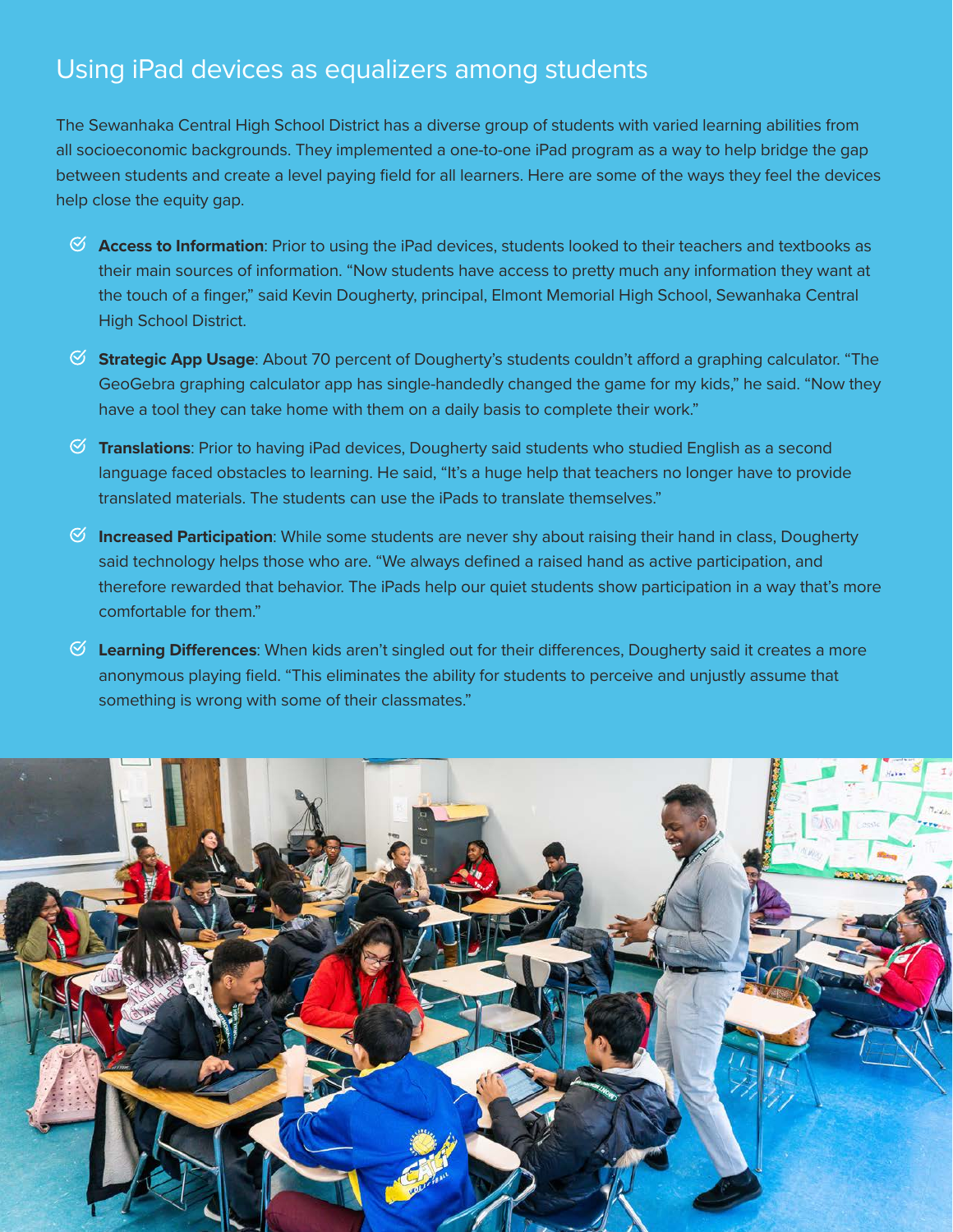# Using iPad devices as equalizers among students

The Sewanhaka Central High School District has a diverse group of students with varied learning abilities from all socioeconomic backgrounds. They implemented a one-to-one iPad program as a way to help bridge the gap between students and create a level paying field for all learners. Here are some of the ways they feel the devices help close the equity gap.

- **Access to Information**: Prior to using the iPad devices, students looked to their teachers and textbooks as their main sources of information. "Now students have access to pretty much any information they want at the touch of a finger," said Kevin Dougherty, principal, Elmont Memorial High School, Sewanhaka Central High School District.
- **Strategic App Usage**: About 70 percent of Dougherty's students couldn't afford a graphing calculator. "The GeoGebra graphing calculator app has single-handedly changed the game for my kids," he said. "Now they have a tool they can take home with them on a daily basis to complete their work."
- **Translations**: Prior to having iPad devices, Dougherty said students who studied English as a second language faced obstacles to learning. He said, "It's a huge help that teachers no longer have to provide translated materials. The students can use the iPads to translate themselves."
- **Increased Participation**: While some students are never shy about raising their hand in class, Dougherty said technology helps those who are. "We always defined a raised hand as active participation, and therefore rewarded that behavior. The iPads help our quiet students show participation in a way that's more comfortable for them."
- **Learning Differences**: When kids aren't singled out for their differences, Dougherty said it creates a more anonymous playing field. "This eliminates the ability for students to perceive and unjustly assume that something is wrong with some of their classmates."

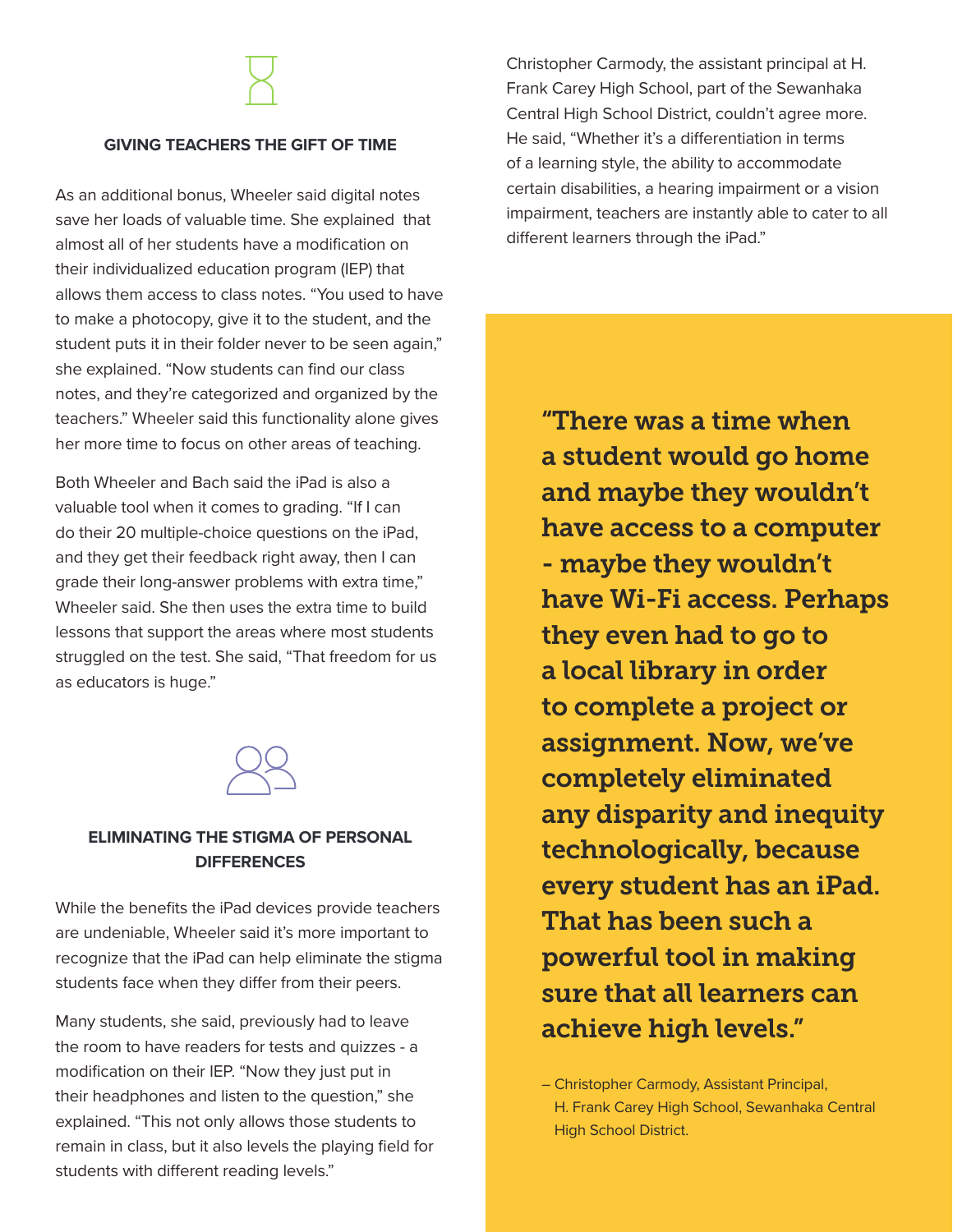### **GIVING TEACHERS THE GIFT OF TIME**

As an additional bonus, Wheeler said digital notes save her loads of valuable time. She explained that almost all of her students have a modification on their individualized education program (IEP) that allows them access to class notes. "You used to have to make a photocopy, give it to the student, and the student puts it in their folder never to be seen again," she explained. "Now students can find our class notes, and they're categorized and organized by the teachers." Wheeler said this functionality alone gives her more time to focus on other areas of teaching.

Both Wheeler and Bach said the iPad is also a valuable tool when it comes to grading. "If I can do their 20 multiple-choice questions on the iPad, and they get their feedback right away, then I can grade their long-answer problems with extra time," Wheeler said. She then uses the extra time to build lessons that support the areas where most students struggled on the test. She said, "That freedom for us as educators is huge."



## **ELIMINATING THE STIGMA OF PERSONAL DIFFERENCES**

While the benefits the iPad devices provide teachers are undeniable, Wheeler said it's more important to recognize that the iPad can help eliminate the stigma students face when they differ from their peers.

Many students, she said, previously had to leave the room to have readers for tests and quizzes - a modification on their IEP. "Now they just put in their headphones and listen to the question," she explained. "This not only allows those students to remain in class, but it also levels the playing field for students with different reading levels."

Christopher Carmody, the assistant principal at H. Frank Carey High School, part of the Sewanhaka Central High School District, couldn't agree more. He said, "Whether it's a differentiation in terms of a learning style, the ability to accommodate certain disabilities, a hearing impairment or a vision impairment, teachers are instantly able to cater to all different learners through the iPad."

"There was a time when a student would go home and maybe they wouldn't have access to a computer - maybe they wouldn't have Wi-Fi access. Perhaps they even had to go to a local library in order to complete a project or assignment. Now, we've completely eliminated any disparity and inequity technologically, because every student has an iPad. That has been such a powerful tool in making sure that all learners can achieve high levels."

– Christopher Carmody, Assistant Principal, H. Frank Carey High School, Sewanhaka Central High School District.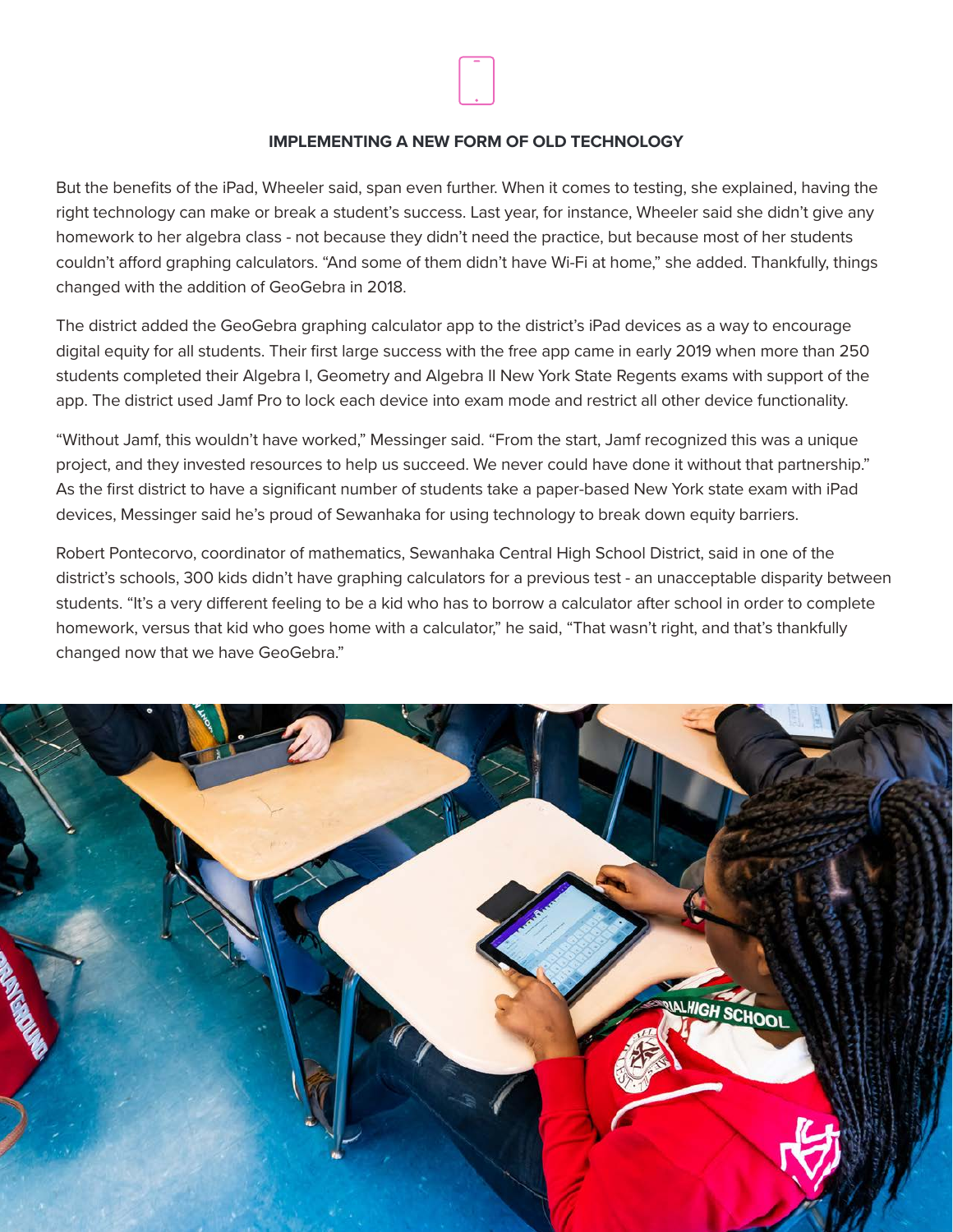

#### **IMPLEMENTING A NEW FORM OF OLD TECHNOLOGY**

But the benefits of the iPad, Wheeler said, span even further. When it comes to testing, she explained, having the right technology can make or break a student's success. Last year, for instance, Wheeler said she didn't give any homework to her algebra class - not because they didn't need the practice, but because most of her students couldn't afford graphing calculators. "And some of them didn't have Wi-Fi at home," she added. Thankfully, things changed with the addition of GeoGebra in 2018.

The district added the GeoGebra graphing calculator app to the district's iPad devices as a way to encourage digital equity for all students. Their first large success with the free app came in early 2019 when more than 250 students completed their Algebra I, Geometry and Algebra II New York State Regents exams with support of the app. The district used Jamf Pro to lock each device into exam mode and restrict all other device functionality.

"Without Jamf, this wouldn't have worked," Messinger said. "From the start, Jamf recognized this was a unique project, and they invested resources to help us succeed. We never could have done it without that partnership." As the first district to have a significant number of students take a paper-based New York state exam with iPad devices, Messinger said he's proud of Sewanhaka for using technology to break down equity barriers.

Robert Pontecorvo, coordinator of mathematics, Sewanhaka Central High School District, said in one of the district's schools, 300 kids didn't have graphing calculators for a previous test - an unacceptable disparity between students. "It's a very different feeling to be a kid who has to borrow a calculator after school in order to complete homework, versus that kid who goes home with a calculator," he said, "That wasn't right, and that's thankfully changed now that we have GeoGebra."

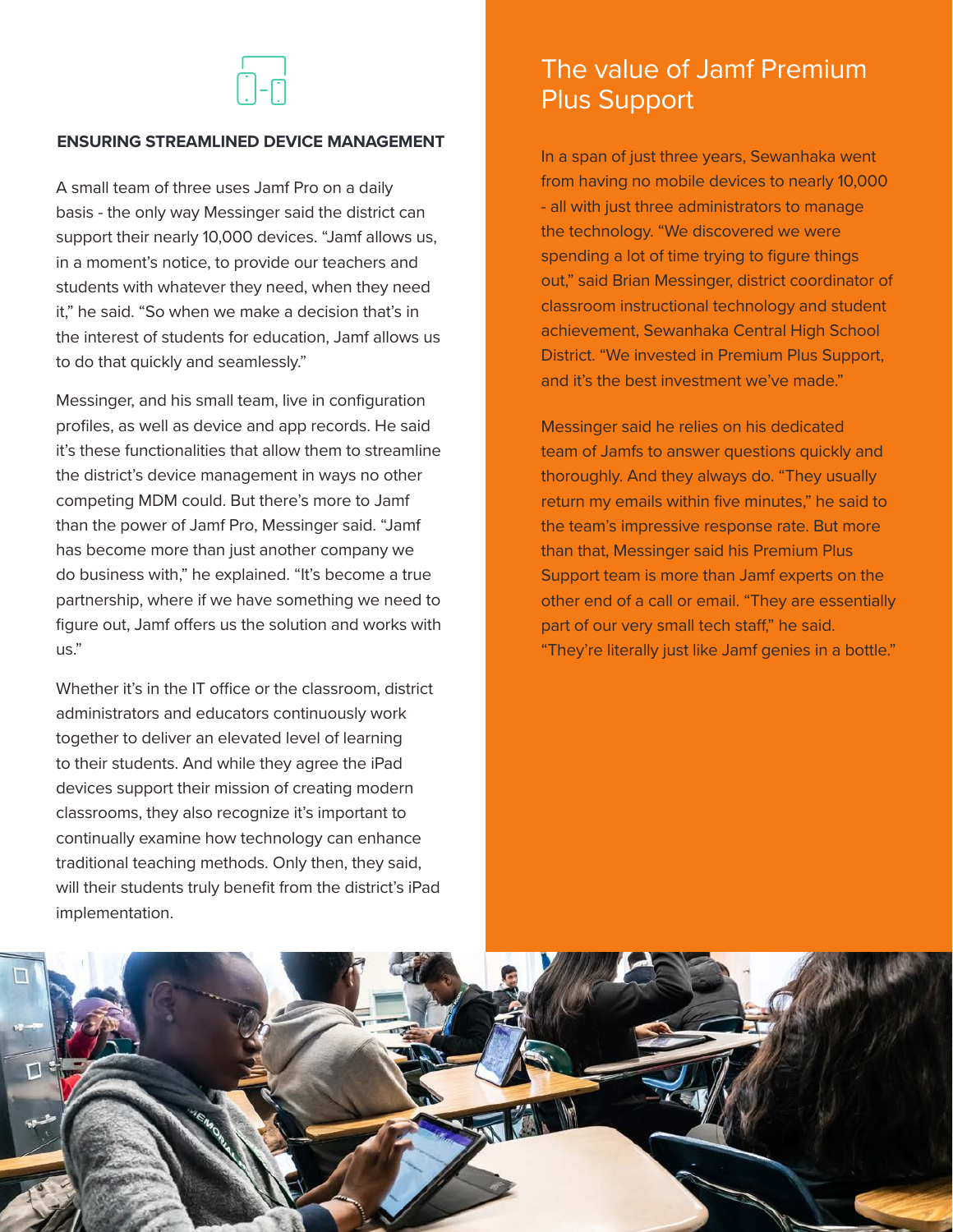## **ENSURING STREAMLINED DEVICE MANAGEMENT**

A small team of three uses Jamf Pro on a daily basis - the only way Messinger said the district can support their nearly 10,000 devices. "Jamf allows us, in a moment's notice, to provide our teachers and students with whatever they need, when they need it," he said. "So when we make a decision that's in the interest of students for education, Jamf allows us to do that quickly and seamlessly."

Messinger, and his small team, live in configuration profiles, as well as device and app records. He said it's these functionalities that allow them to streamline the district's device management in ways no other competing MDM could. But there's more to Jamf than the power of Jamf Pro, Messinger said. "Jamf has become more than just another company we do business with," he explained. "It's become a true partnership, where if we have something we need to figure out, Jamf offers us the solution and works with us."

Whether it's in the IT office or the classroom, district administrators and educators continuously work together to deliver an elevated level of learning to their students. And while they agree the iPad devices support their mission of creating modern classrooms, they also recognize it's important to continually examine how technology can enhance traditional teaching methods. Only then, they said, will their students truly benefit from the district's iPad implementation.

# The value of Jamf Premium Plus Support

In a span of just three years, Sewanhaka went from having no mobile devices to nearly 10,000 - all with just three administrators to manage the technology. "We discovered we were spending a lot of time trying to figure things out," said Brian Messinger, district coordinator of classroom instructional technology and student achievement, Sewanhaka Central High School District. "We invested in Premium Plus Support, and it's the best investment we've made."

Messinger said he relies on his dedicated team of Jamfs to answer questions quickly and thoroughly. And they always do. "They usually return my emails within five minutes," he said to the team's impressive response rate. But more than that, Messinger said his Premium Plus Support team is more than Jamf experts on the other end of a call or email. "They are essentially part of our very small tech staff," he said. "They're literally just like Jamf genies in a bottle."